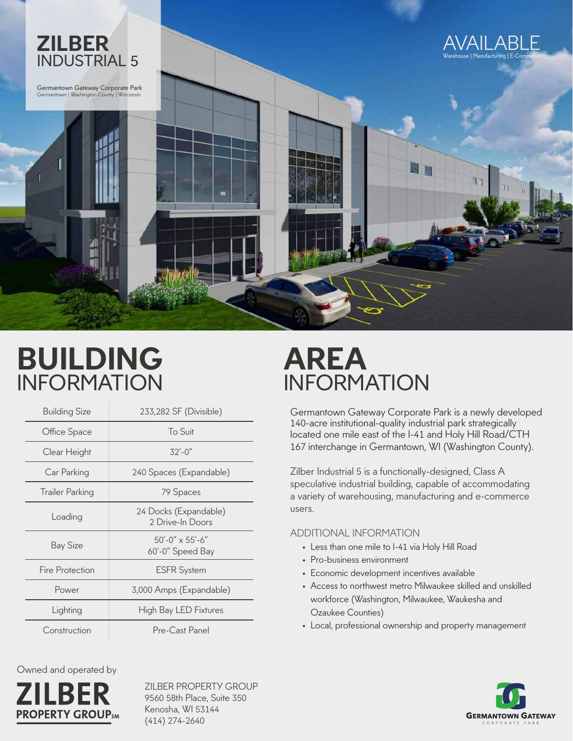

## **BUILDING** INFORMATION

| <b>Building Size</b>   | 233,282 SF (Divisible)                    |
|------------------------|-------------------------------------------|
| Office Space           | To Suit                                   |
| Clear Height           | $32' - 0''$                               |
| Car Parking            | 240 Spaces (Expandable)                   |
| Trailer Parking        | 79 Spaces                                 |
| Loading                | 24 Docks (Expandable)<br>2 Drive-In Doors |
| Bay Size               | $50'$ -0" x 55'-6"<br>60'-0" Speed Bay    |
| <b>Fire Protection</b> | <b>ESFR System</b>                        |
| Power                  | 3,000 Amps (Expandable)                   |
| Lighting               | <b>High Bay LED Fixtures</b>              |
| Construction           | Pre-Cast Panel                            |

Owned and operated by



ZILBER PROPERTY GROUP 9560 58th Place, Suite 350 Kenosha, WI 53144 (414) 274-2640

## **AREA** INFORMATION

**ZILBER INDUSTRIAL 5** 140-acre institutional-quality industrial park strategically located one mile east of the I-41 and Holy Hill Road/CTH Germantown Gateway Corporate Park is a newly developed 167 interchange in Germantown, WI (Washington County).

> Zilber Industrial 5 is a functionally-designed, Class A speculative industrial building, capable of accommodating a variety of warehousing, manufacturing and e-commerce users.

## ADDITIONAL INFORMATION

- Less than one mile to I-41 via Holy Hill Road
- Pro-business environment
- Economic development incentives available
- Access to northwest metro Milwaukee skilled and unskilled workforce (Washington, Milwaukee, Waukesha and Ozaukee Counties)
- Local, professional ownership and property management